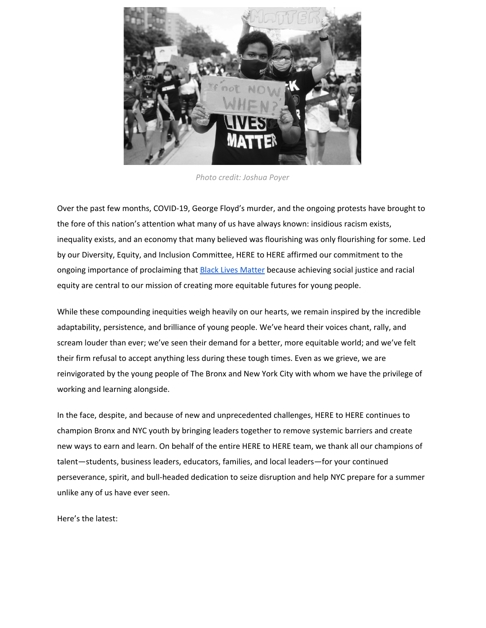

*Photo credit: Joshua Poyer*

Over the past few months, COVID-19, George Floyd's murder, and the ongoing protests have brought to the fore of this nation's attention what many of us have always known: insidious racism exists, inequality exists, and an economy that many believed was flourishing was only flourishing for some. Led by our Diversity, Equity, and Inclusion Committee, HERE to HERE affirmed our commitment to the ongoing importance of proclaiming that **Black Lives [Matter](https://www.heretohere.org/about/response-to-george-floyds-murder/)** because achieving social justice and racial equity are central to our mission of creating more equitable futures for young people.

While these compounding inequities weigh heavily on our hearts, we remain inspired by the incredible adaptability, persistence, and brilliance of young people. We've heard their voices chant, rally, and scream louder than ever; we've seen their demand for a better, more equitable world; and we've felt their firm refusal to accept anything less during these tough times. Even as we grieve, we are reinvigorated by the young people of The Bronx and New York City with whom we have the privilege of working and learning alongside.

In the face, despite, and because of new and unprecedented challenges, HERE to HERE continues to champion Bronx and NYC youth by bringing leaders together to remove systemic barriers and create new ways to earn and learn. On behalf of the entire HERE to HERE team, we thank all our champions of talent—students, business leaders, educators, families, and local leaders—for your continued perseverance, spirit, and bull-headed dedication to seize disruption and help NYC prepare for a summer unlike any of us have ever seen.

Here's the latest: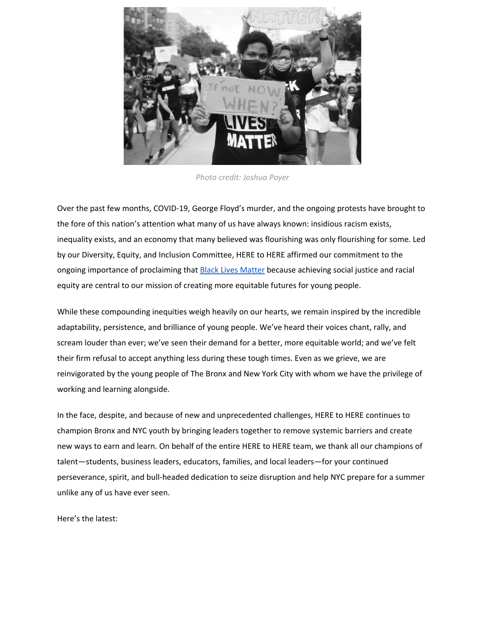## Network high schools and the students we serve

This year, our normal ways of operating were upended. COVID-19 prompted educators to rapidly develop new tactics for educating students as they sheltered in place, while employers faced uncertainty as the economy came to a halt and workplace discrimination could no longer be ignored. Through so much upheaval, HERE to HERE has remained committed to bringing together business, education, and community leaders so that all young people in The Bronx can achieve lifelong career success within a better, more equitable new normal. Now is the time to continue building these partnerships and amplifying the voices of students, not only as changemakers in talent development but also as leaders in New York City's recovery.

#### **Uniting to Fight for Summer Youth Employment (SYEP)**

Since launching the campaign **[#SaveSYEP](https://www.heretohere.org/wp-content/uploads/2020/04/SaveSYEP-Action-Tool-Kit.pdf)**, HERE to HERE and a number of Summer Youth Employment advocates, including Teens Take [Charge](https://www.teenstakecharge.com/), [DreamYard](http://dreamyard.com/), [ExpandEd,](https://www.expandedschools.org/) United [Neighborhood](https://www.unhny.org/) Houses, [Beam](https://beamcenter.org/) [Center](https://beamcenter.org/), Good [Shepherd](https://goodshepherds.org/) Services, and [Children's](https://www.childrensaidnyc.org/) Aid Society have been hard at work to reinstate the program, which was canceled in early April. On July 1, the city released its budget, which restored 35,000 slots for participants in what will be a largely virtual program this summer. Although we fought for a restoration to last year's 74,000 slots, we applaud the work of our partners, especially Bronx youth, who for many weeks tirelessly held public officials' feet to the fire and demanded nothing less than the NYC's full commitment to SYEP, which HERE to HERE and its partners know is an investment in the future well-being of all young people.

To the students of The Bronx and NYC—your voices were heard; your activism mattered. Thanks to you, we were still able to save the summer for tens of thousands of teenagers. We see you, admire you, and feel so fortunate to work alongside you!

We also appreciate the support of public officials, including City Council Speaker Corey Johnson, Youth Services Committee Chair Debi Rose, Public Advocate Jumaane Williams, Comptroller Scott Stringer, Council Member Vanessa Gibson, and many others who fought to save SYEP, as well as the NYC Department of Youth and Community Development and Center for Youth Employment, who worked with providers to create an alternative, largely virtual program, that offers young people work-based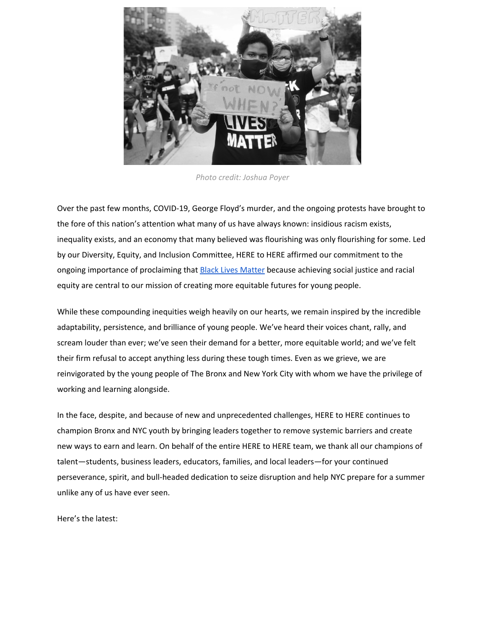experiences in remote settings. Lastly, a special thank you to The Bronx Private Industry Council (Bronx PIC) employers, who wrote letters of support. Delivering meaningful summer experiences for Bronx and NYC youth has not been (and will not be) easy, but it is hugely important. We are grateful to all the individuals and organizations fighting for students.

HERE to HERE continues to build the case and advocate for better summer work programs and an enhanced SYEP by working closely with the city's greatest champions of talent: students. During a HERE to HERE virtual event, Adapting SYEP Teen Webinar, over 100 young people from The Bronx, including the HERE to HERE Ambassadors, brainstormed and strategized how SYEP can [better](https://docs.google.com/document/d/1CdGOrzgBr4CIdOMZbX85aFHqdxdQOfAxS1ZmW-TitnM/edit) serve NYC youth.

HERE to HERE, in partnership with The Bronx [Community](https://www.thebronx.org/) Relief Effort, also managed a series of grants to organizations in The Bronx for virtual summer internships, in order to help these organizations prepare for summer opportunities and to show city officials what was possible in terms of remote programming.



*Image source: [Gotham](https://www.gothamgazette.com/opinion/9362-mayor-de-blasio-restore-funding-summer-youth-employment-teens-who-need-it-city-budget) Gazette*

#### **A Summer Internship Season Unlike Any We've Known Before**

Through this unprecedented time, we've mobilized our partners to create game-changing summer experiences that support Bronx and NYC public school students. We're happy to announce that after months of preparation, virtual summer internships are up and running!

With funding from **The Bronx [Community](https://www.thebronx.org/) Relief Effort**, more than 500 students from the HERE to HERE high school network and two high schools on the Taft campus began virtual [internships](https://www.thisisthebronx.info/local-groups-create-400-summer-virtual-work-experiences-for-bronx-youth/) on July 6. Over the next eight weeks, interns will earn valuable summer income and career-connected skills in internships with Duro & Third [Avenue](https://durouas.com/) Labs, [Educational](https://evc.org/) Video Center, [Children's](https://caswkids.org/) Arts & Sciences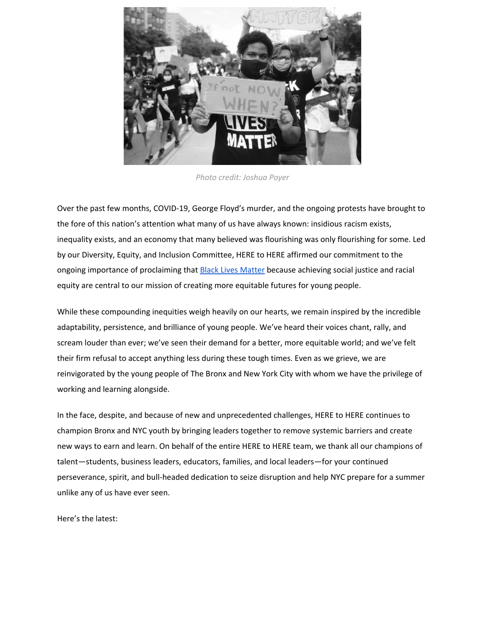[Workshops](https://caswkids.org/), United Activities [Unlimited,](https://unitedactivities.org/) [DreamYard,](http://dreamyard.com/) The [Knowledge](https://www.theknowledgehouse.org/) House, The Urban [Assembly,](https://urbanassembly.org/) [HERO](https://www.schools.nyc.gov/schools/X259) High [School](https://www.schools.nyc.gov/schools/X259), Bronx [Documentary](https://www.bronxdoc.org/) Center, The [Point,](https://thepoint.org/) Music Theater Company, and [Mentoring](http://medicalmentor.org/) in [Medicine](http://medicalmentor.org/). Thank you to our partners for working with us to design unique, adaptive summer experiences—and thank you also to HERE to HERE's Student Ambassadors, who reviewed virtual internship proposals and provided critical input.

For example, The [Thinkubator](https://www.thethinkubator.org/) is providing 40 internships. During this season of the Thinkubator, Innovators (Bronx students) will work alongside Bronx businesses to solve or address COVID-related business challenges and racial inequities in The Bronx. Students will focus specifically on obstacles around school safety, school design, and restaurant operations. At the end of each cohort, students will provide implementable recommendations to the clients.

For more information on the summer 2020 virtual internships, read our press release [here](https://www.thisisthebronx.info/wp-content/uploads/2020/07/H2H-press_release.pdf). For details on virtual internships overall, including best practice, read our [working](https://www.heretohere.org/resource/virtual-internships-a-here-to-here-working-paper/) paper, and our Key [Distinguishers](https://www.heretohere.org/resource/key-distinguishers-for-virtual-paid-work-experiences/) for Virtual Paid Work [Experiences.](https://www.heretohere.org/resource/key-distinguishers-for-virtual-paid-work-experiences/)

#### **Continuing to Refine and Enhance Remote Learning**

Even while we are focused on creating a set of unique, impactful summer work opportunities, we're also looking ahead to the fall, when NYC public schools will face the potential of another semester working and learning remotely. To prepare for this, HERE to HERE's Learning Communities, which gather school leaders invested in work-based learning, have stepped up over the last few months to provide critical insight into which remote learning strategies are working, where educators are facing challenges, and where school leaders see opportunities to build-out students' academic and work skills.

At our May 21 Virtual Learning Community event, which focused specifically on best practices for remote learning through the 2019-2020 school year, we continued to imagine and activate new, adaptive systems that provide young people with real-work contexts to explore career paths, apply academic learning, develop technical skills, and prepare for a new landscape of work. Our May event followed a series of sessions: Documenting Work-Based Learning; Summer Youth Employment Program (SYEP); and Rethinking WBL in 9/10 Grade.

This month, from July 6 through July 23, founding HERE to HERE partner, Big Picture Learning is hosting its annual [Summer](https://bplprod.force.com/s/lt-event?id=a2V3m000003jEGuEAM) Fest, which is operating virtually this year for the first time. Registered attendees have the opportunity to join [Headliner](https://bplprod.force.com/s/lt-event?id=a2V3m000003jEGuEAM#/Agenda) Sessions like School Organization with Taylor Harper, and Parent and Family Engagement with Andrew Frishman, build new passions through Jam Sessions, learn from Big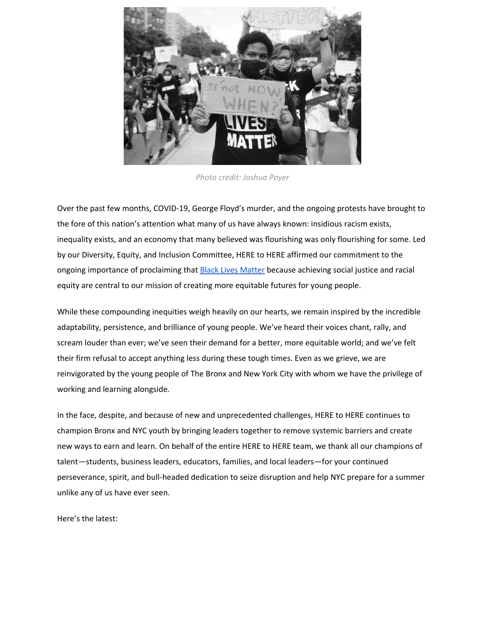Picture Learning partners and initiatives in the "Friends' Tent," and attend evening sessions hosted by members of BPL's international network. Special call out to Fannie Lou Hamer grad Naseem Haamid who hosted a session with basketball star and activist Rashid Williams.

You don't want to miss this! [Register](https://bplprod.force.com/s/lt-event?id=a2V3m000003jEGuEAM&utm_source=HERE+to+HERE+Contacts&utm_campaign=65f1e16036-EMAIL_CAMPAIGN_2020_07_08_02_17&utm_medium=email&utm_term=0_0145eb7f54-65f1e16036-#/loginReg) here.

## **Young People and Employers Affirm and Expand Their Commitment to Apprenticeship**

Now more than ever, the experience, industry-valued credentials, and mentorship provided by apprenticeship are critical to ensuring young people are ready to enter the workforce and contribute to NYC's economic recovery. We are thrilled that students, educators, and employers continue to embrace and expand youth apprenticeship in these uncertain times.

As we continue to find virtual expressions of work-based learning models, we're thrilled that CareerWise New York apprentices began working remotely as of early May. We recognize all the dedicated CareerWise New York employers who continued to provide their apprentices critical income through this transition, and excited to have our young people back at work, including HERE to HERE's apprentices, Tasnia and James!



While Cohort 1 apprentices and supervisors settle back into the evolving workplace, the CareerWise New York team is finalizing recruitment for Cohort 2. The majority of our Cohort 1 employers committed to participate in Cohort 2, with many upping their hiring from last year, signaling the positive effect apprentices are having in the workplace. This summer, we welcomed more than 85 new apprentices!

Over the next few weeks, we'll be hosting a series of robust trainings to prepare young people, supervisors, and coaches for another year of apprenticeship. Included in this schedule is CareerWise New York's signature Apprentice Bootcamp, which this summer will be a seven-week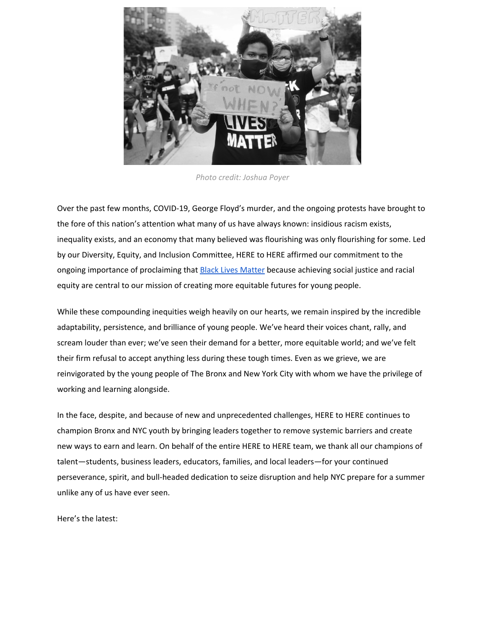virtual, part-time apprentice training in collaboration with [Grads](https://gradsoflife.org/) of Life. We'll also be hosting a learning community session with [Genesys](https://genesysworks.org/) Works, during which the Genesys Works team will share adaptive training models that address the challenges of training high school students via remote learning. Our summer sessions not only help everyone involved gear up for apprenticeship, but also seek to build a deep and caring community—something we could all use a little more of right now as we work and learn remotely.

For more CareerWise New York Updates, visit our CWNY [Program](https://www.careerwisenewyork.org/about/covid/) Updates page.

### **Channeling Resources to Support Our Community**

To respond quickly to the pandemic here in The Bronx, dozens of community leaders, philanthropists, nonprofits, and the private sector built a coalition—The Bronx [Community](https://www.thebronx.org/) Relief Effort (BxCRE)—raising and deploying over \$14 million of private funding in just eight weeks to meet the emergency needs of Bronxites and support the community's longer-term priorities.

HERE to HERE, as an integral member in establishing The Bronx Community Relief Effort, actively works in three of the effort's eight workstreams: EdTech, Microgrants, and Food Insecurity. Our team identified the seed funding to launch BXCRE and helped to deploy funds for virtual internships for young people as detailed above, for microgrants for over 4,000 City University of New York (CUNY) students (more on this below), and for technology for our high school partners to facilitate online learning.



*Image source: Daily [News](https://www.nydailynews.com/coronavirus/ny-coronavirus-bronx-food-service-20200427-4vipwh4fwnf5tl2cx3tlbibpii-story.html)*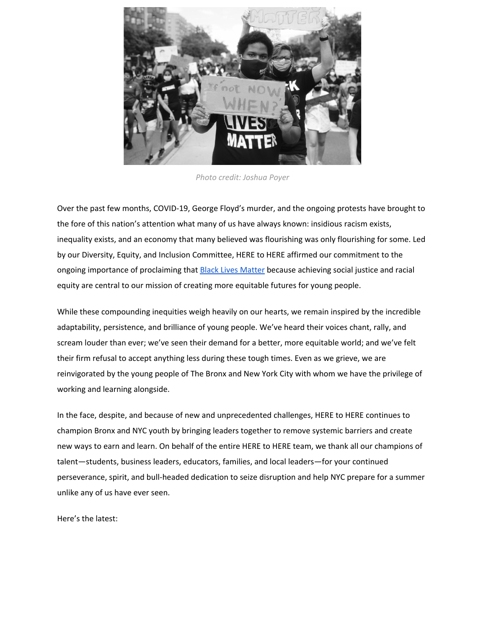With funding from The James and Judith K. Dimon Foundation, HERE to HERE in partnership with the BxCRE Edtech vertical secured, purchased, and delivered more than 600 Chromebooks and 750 hotspots, providing tech resources for our 26 partner schools to meet the technology gap facing students.

Through its community-based partners, the BxCRE has served over 1.5 million meals to date in a borough where one in four residents reported suffering food insecurity well before the virus struck. As a part of our efforts to address immediate food insecurity, The HERE to HERE Bronx PIC team has led the BxCRE food workstream working with World Central [Kitchen](https://wck.org/) and [RAP4Bronx](https://www.rap4bronx.org/) (Relief Access Program for the Bronx) to secure, cook, and deliver more than 31,000 World Central Kitchen meals per day, and more than 2000 bags of groceries and boxes of produce per week. HERE to HERE has helped steward this effort by activating Bronx PIC businesses to participate, while providing the coordination to effectively aid as many Bronx individuals and families as possible.

Thank you to all the partners that have helped facilitate this effort to date. It's a testament to our community-driven collaboration that we were able to pivot our business efforts to address an immediate and dire need here in The Bronx.

#### **Supporting CUNY as an Integral Part of NYC's Economic Recovery**

Educator-employer partnerships that connect businesses to skilled, local talent have never been more important: right now, employers face uncertainty as business operations remain radically altered, and students are experiencing new uncertainties about their future, including how they will achieve the next steps in their education and secure meaningful, rewarding employment. HERE to HERE recognizes that no one institution is better positioned to deliver the [immediate](https://www.nydailynews.com/opinion/ny-oped-cuny-can-drive-nycs-resurgence-20200708-fiklfmedcvaejkcguqp3sihjvq-story.html) and long labor needs of businesses than the City [University](https://www.nydailynews.com/opinion/ny-oped-cuny-can-drive-nycs-resurgence-20200708-fiklfmedcvaejkcguqp3sihjvq-story.html) of New York (CUNY), which serves more than half a million students and has 25 campuses across NYC's five boroughs. CUNY and its students are the heart and future of our city and a vital piece in creating a thriving, inclusive economy, through COVID and long after.

As a part of our effort to champion CUNY as a leader in preparing young people for a post-COVID workforce, CUNY, with early support from The James and Judith K. Dimon Foundation and the Carroll and Milton Petrie Foundation, launched the Chancellor's **[Emergency](https://www1.cuny.edu/mu/forum/2020/04/08/cuny-launches-chancellors-emergency-relief-fund-to-provide-urgent-aid-to-cuny-students-in-need-amid-covid-19-crisis/) Relief Fund** for students in April. We're happy to share that other funders, including Robin Hood and NY Community Trust, contributed to the fund, enabling CUNY to deliver more than 4,000 microgrants to CUNY students. This funding directly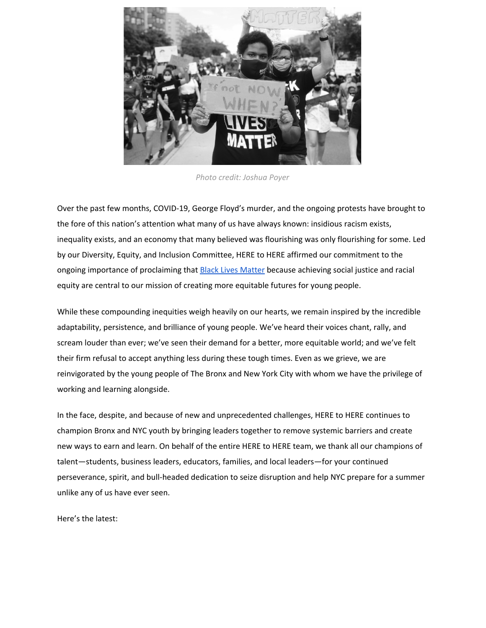helps students facing financial hardship during this extraordinary public health emergency, particularly those that were not eligible for cash assistance grants through the federal CARES act.

Additionally, this summer many of our apprentices are taking select CareerWise New York course offerings at CUNY. Participating students will not only earn up to six credits toward high school graduation but also have the opportunity to critically apply academic learnings at their apprenticeship sites, further bridging classroom learning with the development of in-demand work skills.

We continue to work closely with CUNY's Career Success team to make sure students are supported at this time and that CUNY is recognized as an essential partner in providing the fast, job-focused upskilling that is vital to NYC's economic recovery. Only when we put young people and the institutions that promote their mobility at the center, can our city recover and rebuild.



*Image Source: Daily [News](https://www.nydailynews.com/opinion/ny-oped-cuny-can-drive-nycs-resurgence-20200708-fiklfmedcvaejkcguqp3sihjvq-story.html)*

# **HERE to HERE Updates**

#### **An Update on The Bronx Private Industry Council**

Adapting to a shifting work and talent development environment, largely brought on by COVID and City and State budget constraints, The Bronx PIC, originally conceived as a stand-alone organization resourced through membership dues and public funds, is not currently feasible. In a couple of meetings this Spring with Bronx PIC members, we discussed possible strategies about how best to move forward.